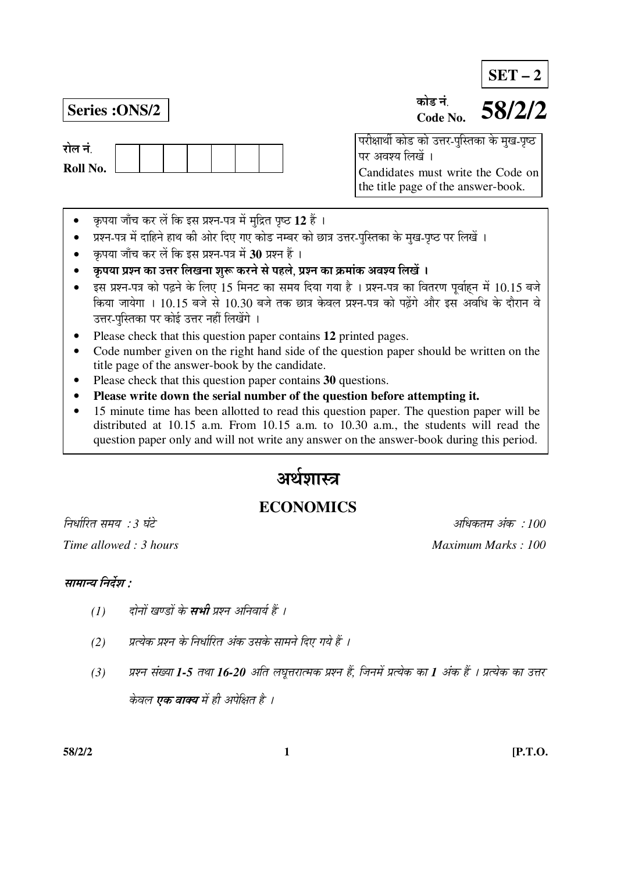**SET – 2**

रोल नं **Roll No.** 

#### **Series :ONS/2 58/2/2** कोड नं **Code No.**

<u>परीक्षार्थी कोड को उत्तर-पुस्तिका के मुख-पृष्ठ</u> पर अवश्य लिखें । Candidates must write the Code on the title page of the answer-book.

- कृपया जाँच कर लें कि इस प्रश्न-पत्र में मुद्रित पृष्ठ 12 हैं ।
- प्रश्न-पत्र में दाहिने हाथ की ओर दिए गए कोड नम्बर को छात्र उत्तर-पुस्तिका के मुख-पृष्ठ पर लिखें ।
- कृपया जाँच कर लें कि इस प्रश्न-पत्र में 30 प्रश्न हैं ।
- कृपया प्रश्न का उत्तर लिखना शुरू करने से पहले, प्रश्न का क्रमांक अवश्य लिखें ।
- इस प्रश्न-पत्र को पढ़ने के लिए 15 मिनट का समय दिया गया है । प्रश्न-पत्र का वितरण पर्वाहन में 10.15 बजे किया जायेगा । 10.15 बजे से 10.30 बजे तक छात्र केवल प्रश्न-पत्र को पढ़ेंगे और इस अवधि के दौरान वे उत्तर-पुस्तिका पर कोई उत्तर नहीं लिखेंगे ।
- Please check that this question paper contains **12** printed pages.
- Code number given on the right hand side of the question paper should be written on the title page of the answer-book by the candidate.
- Please check that this question paper contains **30** questions.
- **Please write down the serial number of the question before attempting it.**
- 15 minute time has been allotted to read this question paper. The question paper will be distributed at 10.15 a.m. From 10.15 a.m. to 10.30 a.m., the students will read the question paper only and will not write any answer on the answer-book during this period.

# अर्थशास्त्र

# **ECONOMICS**

*Time allowed : 3 hours* And *Maximum Marks : 100 Maximum Marks : 100 Maximum Marks : 100* 

×®Ö¬ÖÖÔ׸üŸÖ ÃÖ´ÖµÖ : *3* 'ÖÓ™êü †×¬ÖÛúŸÖ´Ö †ÓÛú : *100* 

# सामान्य निर्देश :

- *(1) दोनों खण्डों के सभी प्रश्न अनिवार्य हैं ।*
- *(*2) यत्येक प्रश्न के निर्धारित अंक उसके सामने दिए गये हैं ।
- *(3) प्रश्न संख्या 1-5 तथा 16-20 अति लघूत्तरात्मक प्रश्न हैं, जिनमें प्रत्येक का 1 अंक हैं । प्रत्येक का उत्तर* केवल **एक वाक्य** में ही अपेक्षित है ।

**58/2/2 1 [P.T.O.**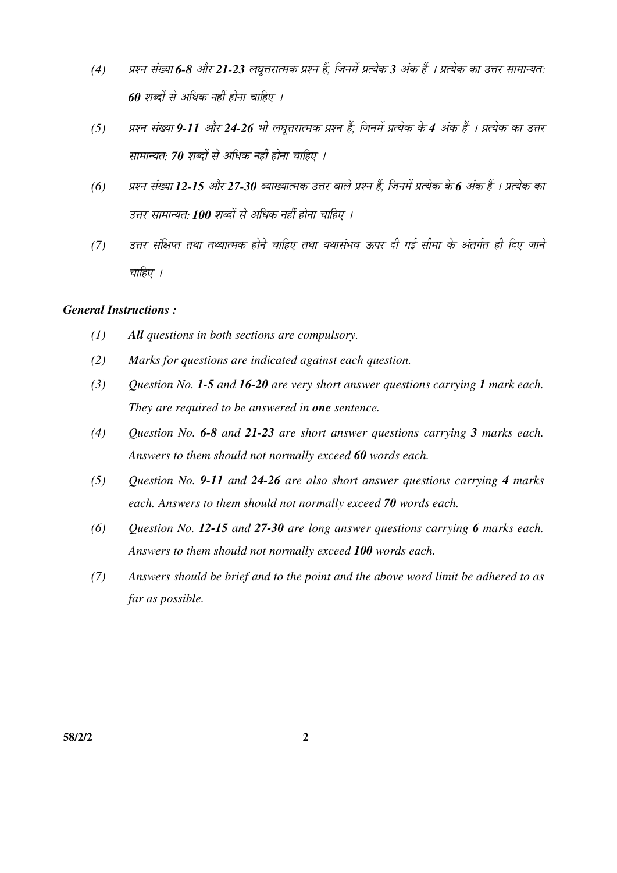- *(4)* ¯ÖÏ¿®Ö ÃÖÓܵÖÖ *6-8* †Öî¸ü *21-23* »Ö'Öæ¢Ö¸üÖŸ´ÖÛú ¯ÖÏ¿®Ö Æïü, וִ֮Öë ¯ÖÏŸµÖêÛú *3* †ÓÛú Æïü … ¯ÖÏŸµÖêÛú ÛúÖ ˆ¢Ö¸ü ÃÖÖ´ÖÖ®µÖŸÖ: *60 शब्दों से अधिक नहीं होना चाहिए ।*
- *(5) प्रश्न संख्या 9-11 और 24-26 भी लघूत्तरात्मक प्रश्न हैं, जिनमें प्रत्येक के 4 अंक हैं । प्रत्येक का उत्तर* सामान्यत: 70 शब्दों से अधिक नहीं होना चाहिए ।
- *(6) प्रश्न संख्या 12-15 और 27-30 व्याख्यात्मक उत्तर वाले प्रश्न हैं, जिनमें प्रत्येक के 6 अंक हैं । प्रत्येक का* उत्तर सामान्यत: **100** शब्दों से अधिक नहीं होना चाहिए ।
- *(7) उत्तर संक्षिप्त तथा तथ्यात्मक होने चाहिए तथा यथासंभव ऊपर दी गई सीमा के अंतर्गत ही दिए जाने* चाहिए ।

### *General Instructions :*

- *(1) All questions in both sections are compulsory.*
- *(2) Marks for questions are indicated against each question.*
- *(3) Question No. 1-5 and 16-20 are very short answer questions carrying 1 mark each. They are required to be answered in one sentence.*
- *(4) Question No. 6-8 and 21-23 are short answer questions carrying 3 marks each. Answers to them should not normally exceed 60 words each.*
- *(5) Question No. 9-11 and 24-26 are also short answer questions carrying 4 marks each. Answers to them should not normally exceed 70 words each.*
- *(6) Question No. 12-15 and 27-30 are long answer questions carrying 6 marks each. Answers to them should not normally exceed 100 words each.*
- *(7) Answers should be brief and to the point and the above word limit be adhered to as far as possible.*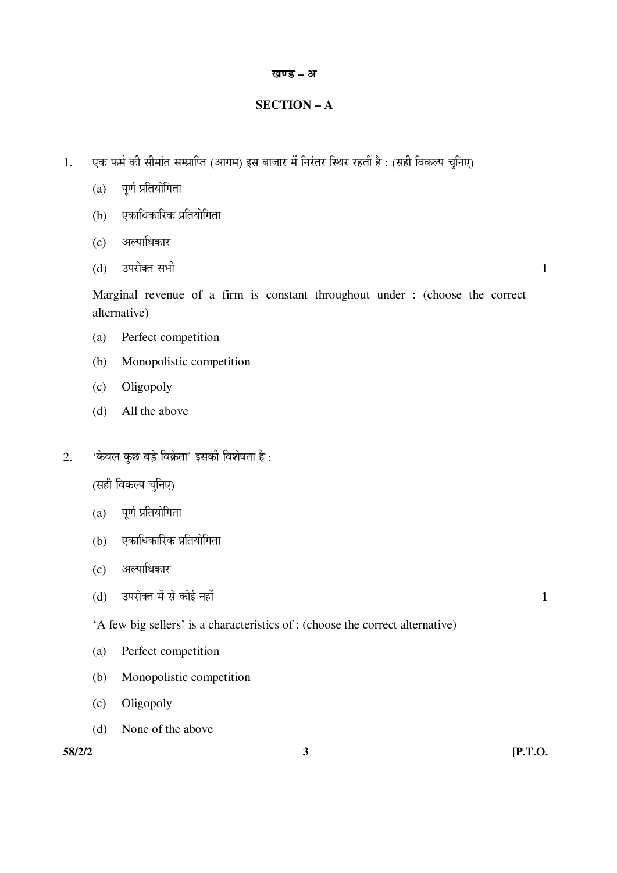#### खण्ड – अ

# **SECTION – A**

- 1. एक फर्म की सीमांत सम्प्राप्ति (आगम) इस बाजार में निरंतर स्थिर रहती है : (सही विकल्प चुनिए)
	- $(a)$  पर्ण प्रतियोगिता
	- (b) एकाधिकारिक प्रतियोगिता
	- (c) अल्पाधिकार
- $(d)$   $\bar{c}$  उपरोक्त सभी  $\bar{c}$

 Marginal revenue of a firm is constant throughout under : (choose the correct alternative)

- (a) Perfect competition
- (b) Monopolistic competition
- (c) Oligopoly
- (d) All the above
- $2.$   $\cdot$ केवल कुछ बड़े विक्रेता' इसकी विशेषता है:

(सही विकल्प चुनिए)

- $(a)$  पूर्ण प्रतियोगिता
- (b) एकाधिकारिक प्रतियोगिता
- (c) अल्पाधिकार
- (d) ˆ¯Ö¸üÖêŒŸÖ ´Öë ÃÖê ÛúÖê‡Ô ®ÖÆüà **1**

'A few big sellers' is a characteristics of : (choose the correct alternative)

- (a) Perfect competition
- (b) Monopolistic competition
- (c) Oligopoly
- (d) None of the above

**58/2/2 3 [P.T.O.**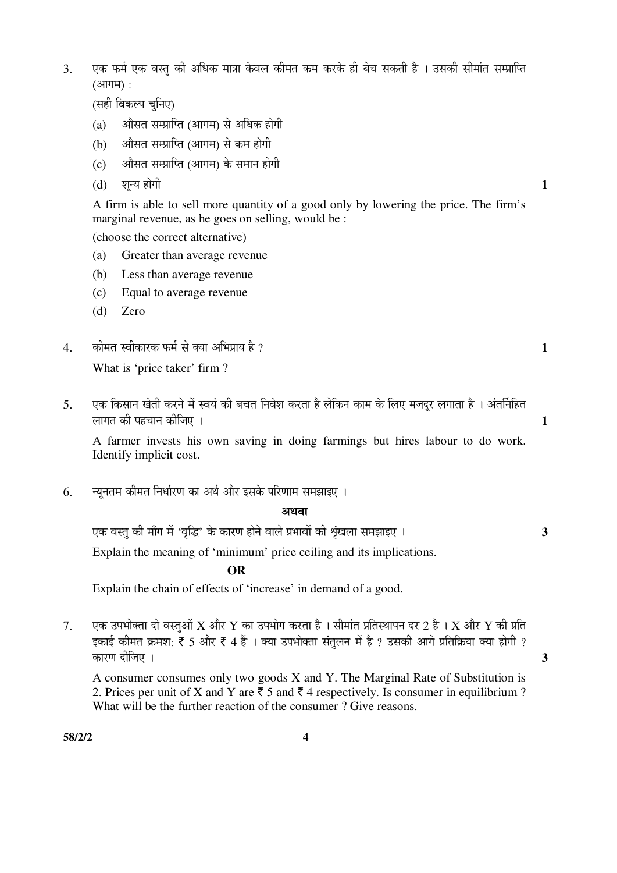3. एक फर्म एक वस्तु की अधिक मात्रा केवल कीमत कम करके ही बेच सकती है । उसकी सीमांत सम्प्राप्ति  $(3$ गगम $)$  :

(सही विकल्प चुनिए)

- $(a)$   $\alpha$  औसत सम्प्राप्ति (आगम) से अधिक होगी
- (b) ज्ञौसत सम्प्राप्ति (आगम) से कम होगी
- (c) । औसत सम्प्राप्ति (आगम) के समान होगी
- (d) शून्य होगी **1**

 A firm is able to sell more quantity of a good only by lowering the price. The firm's marginal revenue, as he goes on selling, would be :

(choose the correct alternative)

- (a) Greater than average revenue
- (b) Less than average revenue
- (c) Equal to average revenue
- (d) Zero
- 4. Ûúß´ÖŸÖ Ã¾ÖßÛúÖ¸üÛú ±ú´ÖÔ ÃÖê ŒµÖÖ †×³Ö¯ÖÏÖµÖ Æîü ? **1**

What is 'price taker' firm ?

5. एक किसान खेती करने में स्वयं की बचत निवेश करता है लेकिन काम के लिए मजदर लगाता है । अंतर्निहित »ÖÖÝÖŸÖ Ûúß ¯ÖÆü"ÖÖ®Ö Ûúßו֋ … **1**

 A farmer invests his own saving in doing farmings but hires labour to do work. Identify implicit cost.

6. न्यनतम कीमत निर्धारण का अर्थ और इसके परिणाम समझाइए ।

#### अथवा

 $\frac{1}{\sqrt{2}}$ एक वस्तु की माँग में 'वृद्धि' के कारण होने वाले प्रभावों की शृंखला समझाइए । Explain the meaning of 'minimum' price ceiling and its implications.

 **OR** 

Explain the chain of effects of 'increase' in demand of a good.

 $7.$  एक उपभोक्ता दो वस्तओं  $X$  और  $Y$  का उपभोग करता है । सीमांत प्रतिस्थापन दर 2 है ।  $X$  और  $Y$  की प्रति इकाई कीमत क्रमश: ₹ 5 और ₹ 4 हैं । क्या उपभोक्ता संतुलन में है ? उसकी आगे प्रतिक्रिया क्या होगी ? कारण दीजिए ।  $\overline{\mathbf{3}}$ 

 A consumer consumes only two goods X and Y. The Marginal Rate of Substitution is 2. Prices per unit of X and Y are  $\bar{\tau}$  5 and  $\bar{\tau}$  4 respectively. Is consumer in equilibrium ? What will be the further reaction of the consumer ? Give reasons.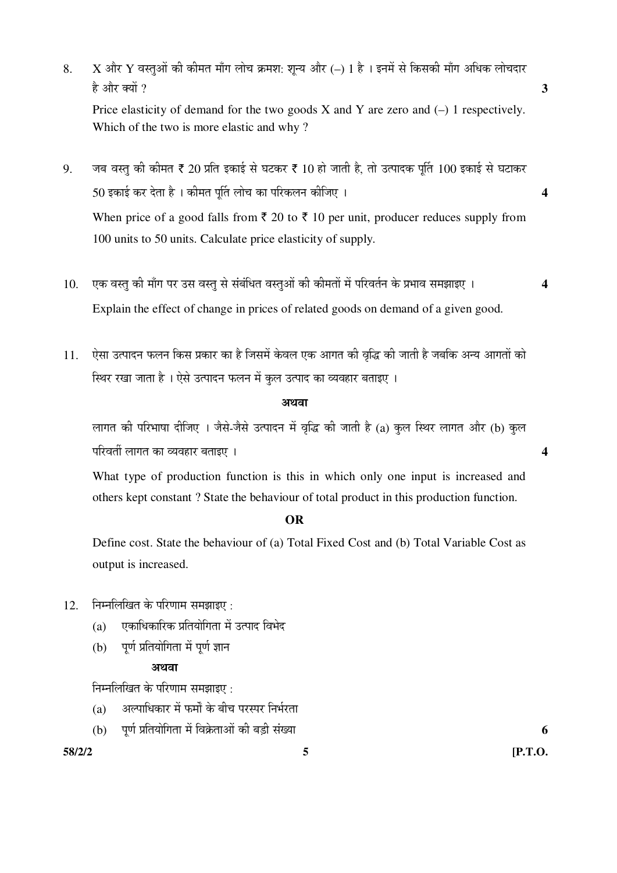8. X और Y वस्तुओं की कीमत माँग लोच क्रमश: शून्य और (–) 1 है । इनमें से किसकी माँग अधिक लोचदार  $\hat{\epsilon}$  और क्यों ?  $\hat{\epsilon}$ Price elasticity of demand for the two goods  $X$  and  $Y$  are zero and  $(-)$  1 respectively. Which of the two is more elastic and why ?

 $9.$  जब वस्तु की कीमत ₹ 20 प्रति इकाई से घटकर ₹ 10 हो जाती है, तो उत्पादक पूर्ति 100 इकाई से घटाकर 50 ‡ÛúÖ‡Ô Ûú¸ü ¤êüŸÖÖ Æîü … Ûúß´ÖŸÖ ¯ÖæÙŸÖ »ÖÖê"Ö ÛúÖ ¯Ö׸üÛú»Ö®Ö Ûúßו֋ … **4** When price of a good falls from  $\bar{\tau}$  20 to  $\bar{\tau}$  10 per unit, producer reduces supply from 100 units to 50 units. Calculate price elasticity of supply.

- 10. एक वस्तु की माँग पर उस वस्तु से संबंधित वस्तुओं की कीमतों में परिवर्तन के प्रभाव समझाइए । 4 Explain the effect of change in prices of related goods on demand of a given good.
- 11. ऐसा उत्पादन फलन किस प्रकार का है जिसमें केवल एक आगत की वृद्धि की जाती है जबकि अन्य आगतों को <u>स्थिर रखा जाता है । ऐसे उत्पादन फलन में कल उत्पाद का व्यवहार बताइए ।</u>

#### अथवा

लागत की परिभाषा दीजिए । जैसे-जैसे उत्पादन में वृद्धि की जाती है (a) कुल स्थिर लागत और (b) कुल ¯Ö׸ü¾ÖŸÖá »ÖÖÝÖŸÖ ÛúÖ ¾µÖ¾ÖÆüÖ¸ü ²ÖŸÖÖ‡‹ … **4** 

 What type of production function is this in which only one input is increased and others kept constant ? State the behaviour of total product in this production function.

# **OR**

 Define cost. State the behaviour of (a) Total Fixed Cost and (b) Total Variable Cost as output is increased.

- $12.$  निम्नलिखित के परिणाम समझाइए :
	- (a) एकाधिकारिक प्रतियोगिता में उत्पाद विभेद
	- $(b)$  पूर्ण प्रतियोगिता में पूर्ण ज्ञान

## $3$ E $\overline{a}$

निम्नलिखित के परिणाम समझाइए $\cdot$ 

- (a) अल्पाधिकार में फर्मों के बीच परस्पर निर्भरता
- (b) ¯ÖæÞÖÔ ¯ÖÏןֵÖÖê×ÝÖŸÖÖ ´Öë ×¾ÖÛÎêúŸÖÖ†Öë Ûúß ²Ö›Ìüß ÃÖÓܵÖÖ **6**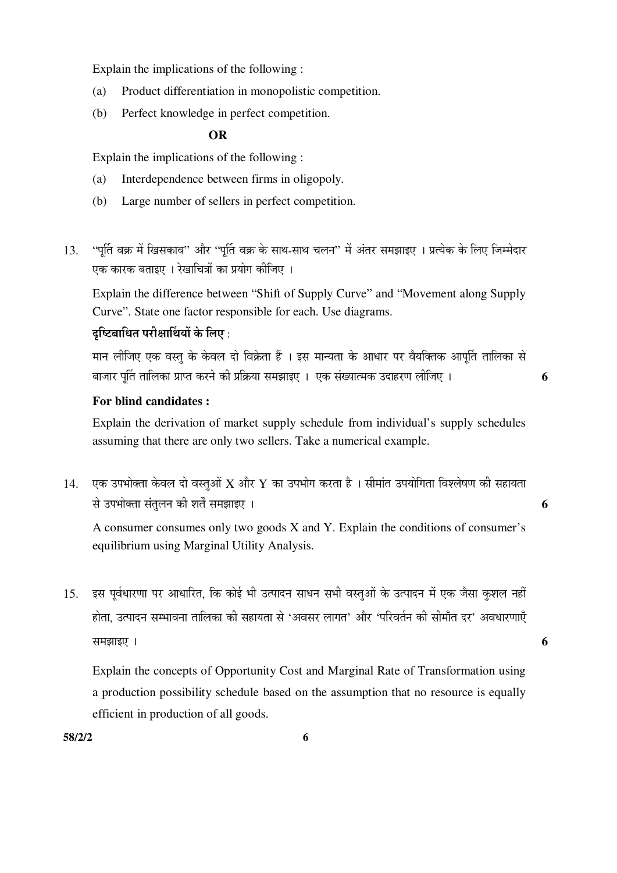Explain the implications of the following :

- (a) Product differentiation in monopolistic competition.
- (b) Perfect knowledge in perfect competition.

# **OR** OR

Explain the implications of the following :

- (a) Interdependence between firms in oligopoly.
- (b) Large number of sellers in perfect competition.
- 13. 'पुर्ति वक्र में खिसकाव'' और ''पुर्ति वक्र के साथ-साथ चलन'' में अंतर समझाइए । प्रत्येक के लिए जिम्मेदार एक कारक बताइए । रेखाचित्रों का प्रयोग कीजिए ।

 Explain the difference between "Shift of Supply Curve" and "Movement along Supply Curve". State one factor responsible for each. Use diagrams.

# दच्चित्नाधित परीक्षार्थियों के लिए :

मान लीजिए एक वस्तु के केवल दो विक्रेता हैं । इस मान्यता के आधार पर वैयक्तिक आपति तालिका से ²ÖÖ•ÖÖ¸ü ¯ÖæÙŸÖ ŸÖÖ×»ÖÛúÖ ¯ÖÏÖ¯ŸÖ Ûú¸ü®Öê Ûúß ¯ÖÏ×ÛÎúµÖÖ ÃÖ´Ö—ÖÖ‡‹ … ‹Ûú ÃÖÓܵÖÖŸ´ÖÛú ˆ¤üÖÆü¸üÞÖ »Ößו֋ … **6** 

### **For blind candidates :**

 Explain the derivation of market supply schedule from individual's supply schedules assuming that there are only two sellers. Take a numerical example.

 $14.$  एक उपभोक्ता केवल दो वस्तुओं  $\boldsymbol{X}$  और  $\boldsymbol{Y}$  का उपभोग करता है । सीमांत उपयोगिता विश्लेषण की सहायता ÃÖê ˆ¯Ö³ÖÖꌟÖÖ ÃÖÓŸÖã»Ö®Ö Ûúß ¿ÖŸÖí ÃÖ´Ö—ÖÖ‡‹ … **6** 

 A consumer consumes only two goods X and Y. Explain the conditions of consumer's equilibrium using Marginal Utility Analysis.

15. इस पूर्वधारणा पर आधारित, कि कोई भी उत्पादन साधन सभी वस्तुओं के उत्पादन में एक जैसा कुशल नहीं होता, उत्पादन सम्भावना तालिका की सहायता से 'अवसर लागत' और 'परिवर्तन की सीमाँत दर' अवधारणाएँ  $\overline{a}$  , and  $\overline{b}$  and  $\overline{b}$  and  $\overline{b}$  and  $\overline{b}$  and  $\overline{b}$  and  $\overline{b}$  and  $\overline{b}$  and  $\overline{b}$  and  $\overline{b}$  and  $\overline{b}$  and  $\overline{b}$  and  $\overline{b}$  and  $\overline{b}$  and  $\overline{b}$  and  $\overline{b}$  and  $\overline{b}$  a

 Explain the concepts of Opportunity Cost and Marginal Rate of Transformation using a production possibility schedule based on the assumption that no resource is equally efficient in production of all goods.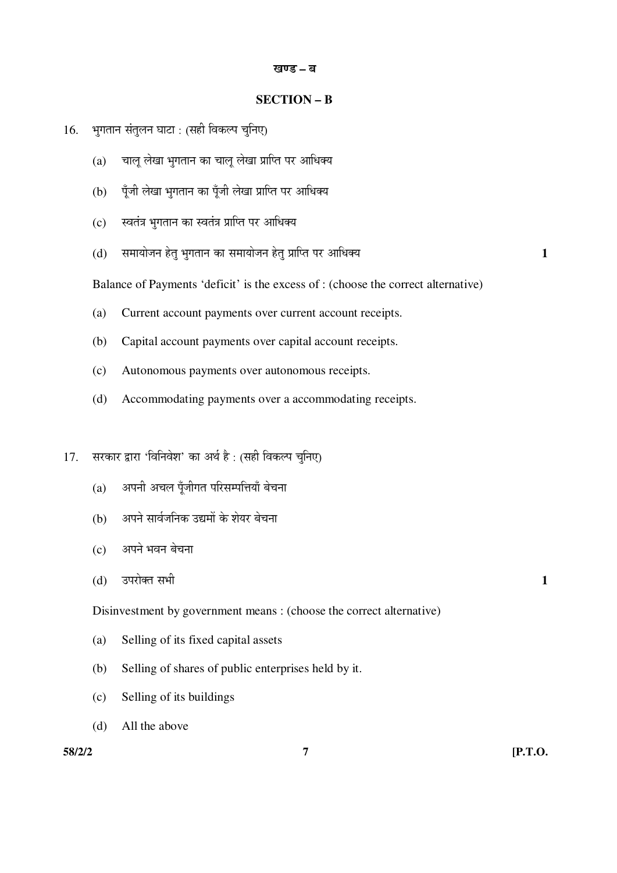#### खण्ड – ब

#### **SECTION – B**

- 16. भुगतान संतुलन घाटा : (सही विकल्प चुनिए)
	- $(a)$  चालू लेखा भुगतान का चालू लेखा प्राप्ति पर आधिक्य
	- (b) पूँजी लेखा भूगतान का पूँजी लेखा प्राप्ति पर आधिक्य
	- (c) स्वतंत्र भगतान का स्वतंत्र प्राप्ति पर आधिक्य
	- (d) ÃÖ´ÖÖµÖÖê•Ö®Ö ÆêüŸÖã ³ÖãÝÖŸÖÖ®Ö ÛúÖ ÃÖ´ÖÖµÖÖê•Ö®Ö ÆêüŸÖã ¯ÖÏÖׯŸÖ ¯Ö¸ü †Ö׬֌µÖ **1**

Balance of Payments 'deficit' is the excess of : (choose the correct alternative)

- (a) Current account payments over current account receipts.
- (b) Capital account payments over capital account receipts.
- (c) Autonomous payments over autonomous receipts.
- (d) Accommodating payments over a accommodating receipts.
- 17. सरकार द्वारा 'विनिवेश' का अर्थ है : (सही विकल्प चुनिए)
	- $(a)$  अपनी अचल पूँजीगत परिसम्पत्तियाँ बेचना
	- (b) अपने सार्वजनिक उद्यमों के शेयर बेचना
	- (c) अपने भवन बेचना
- $(d)$   $\bar{c}$ उपरोक्त सभी  $\bar{c}$

Disinvestment by government means : (choose the correct alternative)

- (a) Selling of its fixed capital assets
- (b) Selling of shares of public enterprises held by it.
- (c) Selling of its buildings
- (d) All the above

**58/2/2 7 [P.T.O.**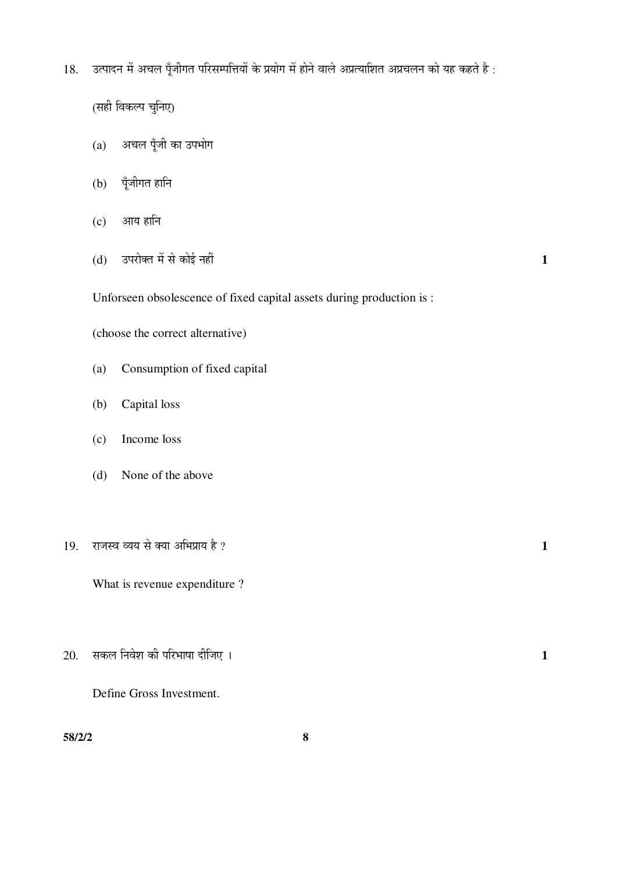18. उत्पादन में अचल पूँजीगत परिसम्पत्तियों के प्रयोग में होने वाले अप्रत्याशित अप्रचलन को यह कहते है :

(सही विकल्प चुनिए)

- $(a)$  अचल पूँजी का उपभोग
- $(b)$  पूँजीगत हानि
- $(c)$  आय हानि
- $(d)$   $\bar{d}$  उपरोक्त में से कोई नहीं  $\bar{d}$

Unforseen obsolescence of fixed capital assets during production is :

(choose the correct alternative)

- (a) Consumption of fixed capital
- (b) Capital loss
- (c) Income loss
- (d) None of the above
- $19.$  राजस्व व्यय से क्या अभिप्राय है ?  $1$

What is revenue expenditure ?

 $20.$  सकल निवेश की परिभाषा दीजिए । यो उत्तर को उत्तर उत्तर उत्तर उत्तर उत्तर अपने उत्तर अपने अपने अपने अपने अपने अ

Define Gross Investment.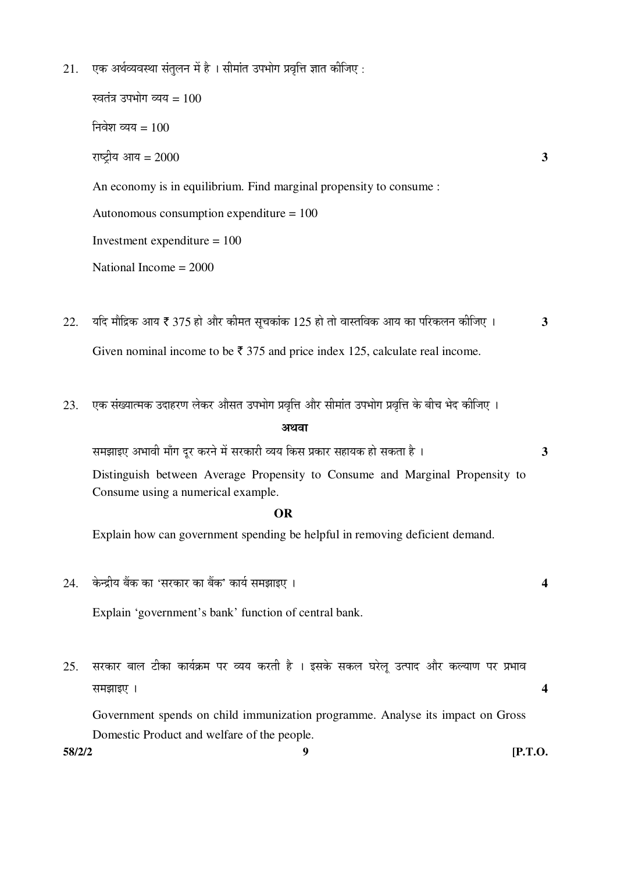$21.$  एक अर्थव्यवस्था संतुलन में है । सीमांत उपभोग प्रवृत्ति ज्ञात कीजिए :

स्वतंत्र उपभोग व्यय =  $100$ निवेश व्यय =  $100$  $\bar{x}$ und  $\bar{y}$  = 2000  $\bar{z}$   $=$  2000  $\bar{z}$   $=$  3 An economy is in equilibrium. Find marginal propensity to consume : Autonomous consumption expenditure = 100 Investment expenditure = 100 National Income = 2000

- $22.$  यदि मौद्रिक आय ₹ 375 हो और कीमत सुचकांक 125 हो तो वास्तविक आय का परिकलन कीजिए ।  $\overline{3}$ Given nominal income to be  $\bar{\tau}$  375 and price index 125, calculate real income.
- 23. एक संख्यात्मक उदाहरण लेकर औसत उपभोग प्रवृत्ति और सीमांत उपभोग प्रवृत्ति के बीच भेद कीजिए । अथवा

 ÃÖ´Ö—ÖÖ‡‹ †³ÖÖ¾Öß ´ÖÖÑÝÖ ¤æü¸ü Ûú¸ü®Öê ´Öë ÃÖ¸üÛúÖ¸üß ¾µÖµÖ ×ÛúÃÖ ¯ÖÏÛúÖ¸ü ÃÖÆüÖµÖÛú ÆüÖê ÃÖÛúŸÖÖ Æîü … **3** Distinguish between Average Propensity to Consume and Marginal Propensity to

Consume using a numerical example.

## **OR**

Explain how can government spending be helpful in removing deficient demand.

24. Ûêú®¦üßµÖ ²ÖïÛú ÛúÖ 'ÃÖ¸üÛúÖ¸ü ÛúÖ ²ÖïÛú' ÛúÖµÖÔ ÃÖ´Ö—ÖÖ‡‹ … **4**

Explain 'government's bank' function of central bank.

 $25$ . सरकार बाल टीका कार्यक्रम पर व्यय करती है । इसके सकल घरेलू उत्पाद और कल्याण पर प्रभाव  $\overline{a}$  **a** 

 Government spends on child immunization programme. Analyse its impact on Gross Domestic Product and welfare of the people.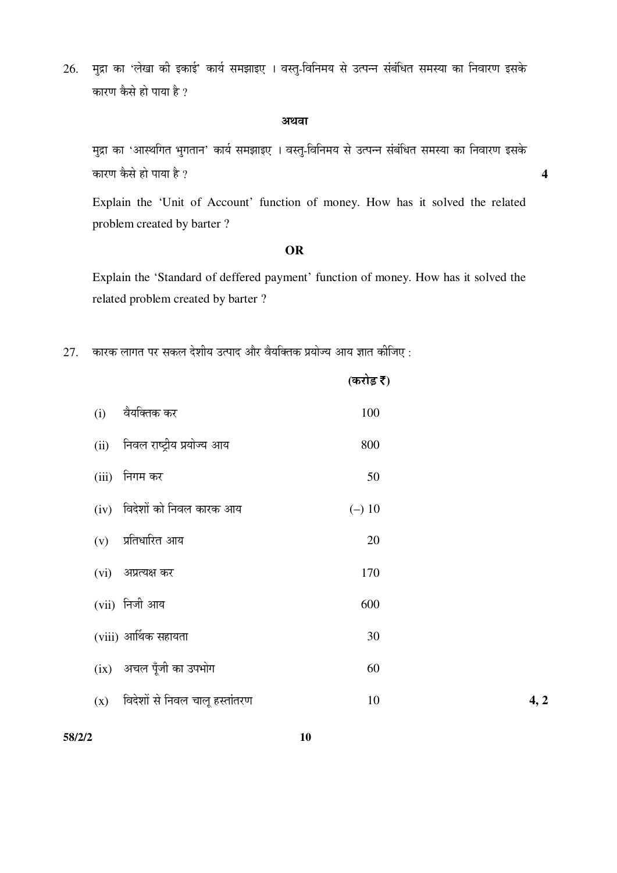26. मुद्रा का 'लेखा की इकाई' कार्य समझाइए । वस्तु-विनिमय से उत्पन्न संबंधित समस्या का निवारण इसके कारण कैसे हो पाया है ?

#### अथवा

मुद्रा का 'आस्थगित भुगतान' कार्य समझाइए । वस्त्-विनिमय से उत्पन्न संबंधित समस्या का निवारण इसके  $\vec{a}$ कारण कैसे हो पाया है ?  $\vec{a}$ 

 Explain the 'Unit of Account' function of money. How has it solved the related problem created by barter ?

#### **OR**

 Explain the 'Standard of deffered payment' function of money. How has it solved the related problem created by barter ?

 $27.$  कारक लागत पर सकल देशीय उत्पाद और वैयक्तिक प्रयोज्य आय ज्ञात कीजिए :

|       |                                | (करोड़ ₹) |      |
|-------|--------------------------------|-----------|------|
| (i)   | वैयक्तिक कर                    | 100       |      |
| (ii)  | निवल राष्ट्रीय प्रयोज्य आय     | 800       |      |
| (iii) | निगम कर                        | 50        |      |
|       | (iv) विदेशों को निवल कारक आय   | $(-) 10$  |      |
| (v)   | प्रतिधारित आय                  | 20        |      |
|       | $(vi)$ अप्रत्यक्ष कर           | 170       |      |
|       | $(vii)$ निजी आय                | 600       |      |
|       | (viii) आर्थिक सहायता           | 30        |      |
|       | (ix) अचल पूँजी का उपभोग        | 60        |      |
| (x)   | विदेशों से निवल चालू हस्तांतरण | 10        | 4, 2 |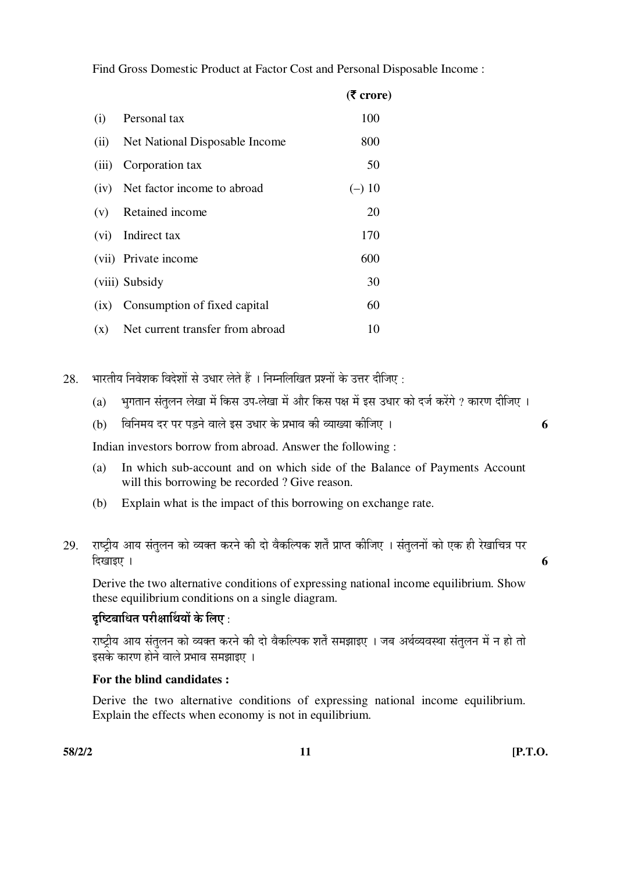Find Gross Domestic Product at Factor Cost and Personal Disposable Income :

|       |                                      | $(5 \text{ core})$ |
|-------|--------------------------------------|--------------------|
| (i)   | Personal tax                         | 100                |
|       | (ii) Net National Disposable Income  | 800                |
| (iii) | Corporation tax                      | 50                 |
|       | (iv) Net factor income to abroad     | $(-)$ 10           |
|       | (v) Retained income                  | 20                 |
|       | (vi) Indirect tax                    | 170                |
|       | (vii) Private income                 | 600                |
|       | (viii) Subsidy                       | 30                 |
| (ix)  | Consumption of fixed capital         | 60                 |
|       | (x) Net current transfer from abroad | 10                 |

 $28.$  भारतीय निवेशक विदेशों से उधार लेते हैं । निम्नलिखित प्रश्नों के उत्तर दीजिए :

- (a) भुगतान संतुलन लेखा में किस उप-लेखा में और किस पक्ष में इस उधार को दर्ज करेंगे ? कारण दीजिए ।
- (b) ×¾Ö×®Ö´ÖµÖ ¤ü¸ü ¯Ö¸ü ¯Ö›Ìü®Öê ¾ÖÖ»Öê ‡ÃÖ ˆ¬ÖÖ¸ü Ûêú ¯ÖϳÖÖ¾Ö Ûúß ¾µÖÖܵÖÖ Ûúßו֋ … **6**

Indian investors borrow from abroad. Answer the following :

- (a) In which sub-account and on which side of the Balance of Payments Account will this borrowing be recorded ? Give reason.
- (b) Explain what is the impact of this borrowing on exchange rate.
- 29. राष्ट्रीय आय संतुलन को व्यक्त करने की दो वैकल्पिक शर्तें प्राप्त कीजिए । संतुलनों को एक ही रेखाचित्र पर  $\frac{1}{2}$  । Exercise  $\frac{1}{2}$

 Derive the two alternative conditions of expressing national income equilibrium. Show these equilibrium conditions on a single diagram.

# दच्चित्राधित परीक्षार्थियों के लिए :

राष्ट्रीय आय संतुलन को व्यक्त करने की दो वैकल्पिक शर्तें समझाइए । जब अर्थव्यवस्था संतुलन में न हो तो इसके कारण होने वाले प्रभाव समझाइए ।

# **For the blind candidates :**

 Derive the two alternative conditions of expressing national income equilibrium. Explain the effects when economy is not in equilibrium.